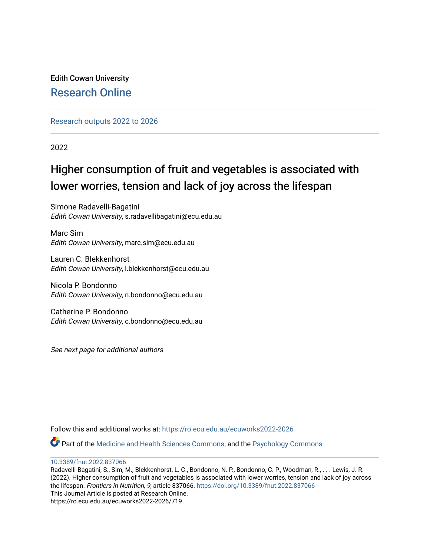# Edith Cowan University [Research Online](https://ro.ecu.edu.au/)

[Research outputs 2022 to 2026](https://ro.ecu.edu.au/ecuworks2022-2026) 

2022

# Higher consumption of fruit and vegetables is associated with lower worries, tension and lack of joy across the lifespan

Simone Radavelli-Bagatini Edith Cowan University, s.radavellibagatini@ecu.edu.au

Marc Sim Edith Cowan University, marc.sim@ecu.edu.au

Lauren C. Blekkenhorst Edith Cowan University, l.blekkenhorst@ecu.edu.au

Nicola P. Bondonno Edith Cowan University, n.bondonno@ecu.edu.au

Catherine P. Bondonno Edith Cowan University, c.bondonno@ecu.edu.au

See next page for additional authors

Follow this and additional works at: [https://ro.ecu.edu.au/ecuworks2022-2026](https://ro.ecu.edu.au/ecuworks2022-2026?utm_source=ro.ecu.edu.au%2Fecuworks2022-2026%2F719&utm_medium=PDF&utm_campaign=PDFCoverPages)

Part of the [Medicine and Health Sciences Commons,](https://network.bepress.com/hgg/discipline/648?utm_source=ro.ecu.edu.au%2Fecuworks2022-2026%2F719&utm_medium=PDF&utm_campaign=PDFCoverPages) and the [Psychology Commons](https://network.bepress.com/hgg/discipline/404?utm_source=ro.ecu.edu.au%2Fecuworks2022-2026%2F719&utm_medium=PDF&utm_campaign=PDFCoverPages)

[10.3389/fnut.2022.837066](http://dx.doi.org/10.3389/fnut.2022.837066) 

Radavelli-Bagatini, S., Sim, M., Blekkenhorst, L. C., Bondonno, N. P., Bondonno, C. P., Woodman, R., . . . Lewis, J. R. (2022). Higher consumption of fruit and vegetables is associated with lower worries, tension and lack of joy across the lifespan. Frontiers in Nutrition, 9, article 837066.<https://doi.org/10.3389/fnut.2022.837066> This Journal Article is posted at Research Online. https://ro.ecu.edu.au/ecuworks2022-2026/719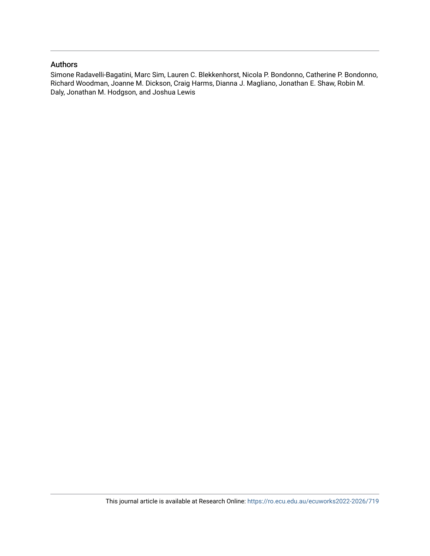### Authors

Simone Radavelli-Bagatini, Marc Sim, Lauren C. Blekkenhorst, Nicola P. Bondonno, Catherine P. Bondonno, Richard Woodman, Joanne M. Dickson, Craig Harms, Dianna J. Magliano, Jonathan E. Shaw, Robin M. Daly, Jonathan M. Hodgson, and Joshua Lewis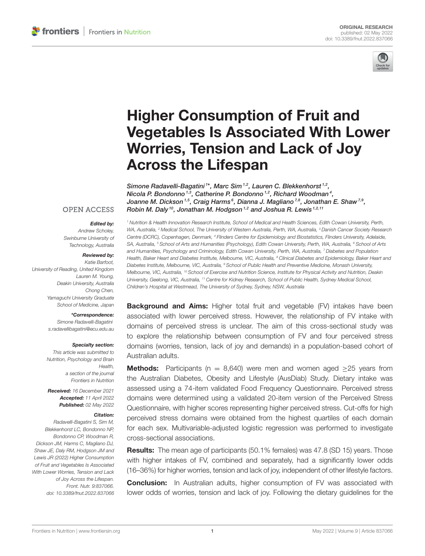

# Higher Consumption of Fruit and [Vegetables Is Associated With Lower](https://www.frontiersin.org/articles/10.3389/fnut.2022.837066/full) Worries, Tension and Lack of Joy Across the Lifespan

Simone Radavelli-Bagatini<sup>1\*</sup>, Marc Sim<sup>1,2</sup>, Lauren C. Blekkenhorst<sup>1,2</sup>, Nicola P. Bondonno  $1,3$ , Catherine P. Bondonno  $1,2$ , Richard Woodman  $4$ , Joanne M. Dickson 1,5, Craig Harms  $^6$ , Dianna J. Magliano <sup>7,8</sup>, Jonathan E. Shaw <sup>7,9</sup>, Robin M. Daly <sup>10</sup>, Jonathan M. Hodgson<sup>1,2</sup> and Joshua R. Lewis<sup>1,2,11</sup>

#### **OPEN ACCESS**

#### Edited by:

*Andrew Scholey, Swinburne University of Technology, Australia*

#### Reviewed by:

*Katie Barfoot, University of Reading, United Kingdom Lauren M. Young, Deakin University, Australia Chong Chen, Yamaguchi University Graduate School of Medicine, Japan*

#### \*Correspondence:

*Simone Radavelli-Bagatini [s.radavellibagatini@ecu.edu.au](mailto:s.radavellibagatini@ecu.edu.au)*

#### Specialty section:

*This article was submitted to Nutrition, Psychology and Brain Health, a section of the journal Frontiers in Nutrition*

Received: *16 December 2021* Accepted: *11 April 2022* Published: *02 May 2022*

#### Citation:

*Radavelli-Bagatini S, Sim M, Blekkenhorst LC, Bondonno NP, Bondonno CP, Woodman R, Dickson JM, Harms C, Magliano DJ, Shaw JE, Daly RM, Hodgson JM and Lewis JR (2022) Higher Consumption of Fruit and Vegetables Is Associated With Lower Worries, Tension and Lack of Joy Across the Lifespan. Front. Nutr. 9:837066. doi: [10.3389/fnut.2022.837066](https://doi.org/10.3389/fnut.2022.837066)*

*<sup>1</sup> Nutrition & Health Innovation Research Institute, School of Medical and Health Sciences, Edith Cowan University, Perth, WA, Australia, <sup>2</sup> Medical School, The University of Western Australia, Perth, WA, Australia, <sup>3</sup> Danish Cancer Society Research Centre (DCRC), Copenhagen, Denmark, <sup>4</sup> Flinders Centre for Epidemiology and Biostatistics, Flinders University, Adelaide, SA, Australia, <sup>5</sup> School of Arts and Humanities (Psychology), Edith Cowan University, Perth, WA, Australia, <sup>6</sup> School of Arts and Humanities, Psychology and Criminology, Edith Cowan University, Perth, WA, Australia, <sup>7</sup> Diabetes and Population Health, Baker Heart and Diabetes Institute, Melbourne, VIC, Australia, <sup>8</sup> Clinical Diabetes and Epidemiology, Baker Heart and Diabetes Institute, Melbourne, VIC, Australia, <sup>9</sup> School of Public Health and Preventive Medicine, Monash University, Melbourne, VIC, Australia, <sup>10</sup> School of Exercise and Nutrition Science, Institute for Physical Activity and Nutrition, Deakin University, Geelong, VIC, Australia, <sup>11</sup> Centre for Kidney Research, School of Public Health, Sydney Medical School, Children's Hospital at Westmead, The University of Sydney, Sydney, NSW, Australia*

**Background and Aims:** Higher total fruit and vegetable (FV) intakes have been associated with lower perceived stress. However, the relationship of FV intake with domains of perceived stress is unclear. The aim of this cross-sectional study was to explore the relationship between consumption of FV and four perceived stress domains (worries, tension, lack of joy and demands) in a population-based cohort of Australian adults.

**Methods:** Participants ( $n = 8,640$ ) were men and women aged >25 years from the Australian Diabetes, Obesity and Lifestyle (AusDiab) Study. Dietary intake was assessed using a 74-item validated Food Frequency Questionnaire. Perceived stress domains were determined using a validated 20-item version of the Perceived Stress Questionnaire, with higher scores representing higher perceived stress. Cut-offs for high perceived stress domains were obtained from the highest quartiles of each domain for each sex. Multivariable-adjusted logistic regression was performed to investigate cross-sectional associations.

Results: The mean age of participants (50.1% females) was 47.8 (SD 15) years. Those with higher intakes of FV, combined and separately, had a significantly lower odds (16–36%) for higher worries, tension and lack of joy, independent of other lifestyle factors.

**Conclusion:** In Australian adults, higher consumption of FV was associated with lower odds of worries, tension and lack of joy. Following the dietary guidelines for the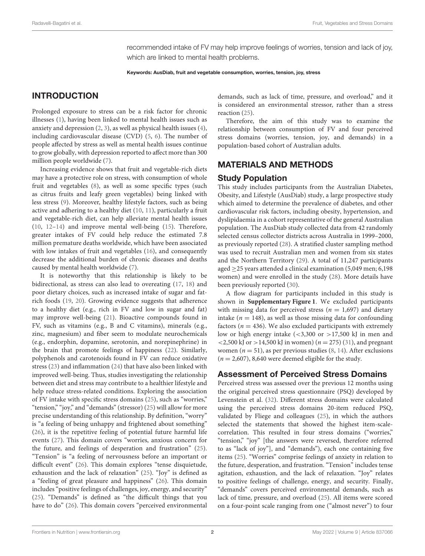recommended intake of FV may help improve feelings of worries, tension and lack of joy, which are linked to mental health problems.

Keywords: AusDiab, fruit and vegetable consumption, worries, tension, joy, stress

## INTRODUCTION

Prolonged exposure to stress can be a risk factor for chronic illnesses [\(1\)](#page-11-0), having been linked to mental health issues such as anxiety and depression [\(2,](#page-11-1) [3\)](#page-11-2), as well as physical health issues [\(4\)](#page-11-3), including cardiovascular disease (CVD) [\(5,](#page-11-4) [6\)](#page-11-5). The number of people affected by stress as well as mental health issues continue to grow globally, with depression reported to affect more than 300 million people worldwide [\(7\)](#page-11-6).

Increasing evidence shows that fruit and vegetable-rich diets may have a protective role on stress, with consumption of whole fruit and vegetables [\(8\)](#page-11-7), as well as some specific types (such as citrus fruits and leafy green vegetables) being linked with less stress [\(9\)](#page-11-8). Moreover, healthy lifestyle factors, such as being active and adhering to a healthy diet [\(10,](#page-11-9) [11\)](#page-11-10), particularly a fruit and vegetable-rich diet, can help alleviate mental health issues [\(10,](#page-11-9) [12](#page-11-11)[–14\)](#page-11-12) and improve mental well-being [\(15\)](#page-11-13). Therefore, greater intakes of FV could help reduce the estimated 7.8 million premature deaths worldwide, which have been associated with low intakes of fruit and vegetables [\(16\)](#page-11-14), and consequently decrease the additional burden of chronic diseases and deaths caused by mental health worldwide [\(7\)](#page-11-6).

It is noteworthy that this relationship is likely to be bidirectional, as stress can also lead to overeating [\(17,](#page-11-15) [18\)](#page-11-16) and poor dietary choices, such as increased intake of sugar and fatrich foods [\(19,](#page-11-17) [20\)](#page-11-18). Growing evidence suggests that adherence to a healthy diet (e.g., rich in FV and low in sugar and fat) may improve well-being [\(21\)](#page-11-19). Bioactive compounds found in FV, such as vitamins (e.g., B and C vitamins), minerals (e.g., zinc, magnesium) and fiber seem to modulate neurochemicals (e.g., endorphin, dopamine, serotonin, and norepinephrine) in the brain that promote feelings of happiness [\(22\)](#page-11-20). Similarly, polyphenols and carotenoids found in FV can reduce oxidative stress [\(23\)](#page-11-21) and inflammation [\(24\)](#page-11-22) that have also been linked with improved well-being. Thus, studies investigating the relationship between diet and stress may contribute to a healthier lifestyle and help reduce stress-related conditions. Exploring the association of FV intake with specific stress domains [\(25\)](#page-11-23), such as "worries," "tension," "joy," and "demands" (stressor) [\(25\)](#page-11-23) will allow for more precise understanding of this relationship. By definition, "worry" is "a feeling of being unhappy and frightened about something" [\(26\)](#page-11-24), it is the repetitive feeling of potential future harmful life events [\(27\)](#page-11-25). This domain covers "worries, anxious concern for the future, and feelings of desperation and frustration" [\(25\)](#page-11-23). "Tension" is "a feeling of nervousness before an important or difficult event" [\(26\)](#page-11-24). This domain explores "tense disquietude, exhaustion and the lack of relaxation" [\(25\)](#page-11-23). "Joy" is defined as a "feeling of great pleasure and happiness" [\(26\)](#page-11-24). This domain includes "positive feelings of challenges, joy, energy, and security" [\(25\)](#page-11-23). "Demands" is defined as "the difficult things that you have to do" [\(26\)](#page-11-24). This domain covers "perceived environmental demands, such as lack of time, pressure, and overload," and it is considered an environmental stressor, rather than a stress reaction [\(25\)](#page-11-23).

Therefore, the aim of this study was to examine the relationship between consumption of FV and four perceived stress domains (worries, tension, joy, and demands) in a population-based cohort of Australian adults.

## MATERIALS AND METHODS

### Study Population

This study includes participants from the Australian Diabetes, Obesity, and Lifestyle (AusDiab) study, a large prospective study which aimed to determine the prevalence of diabetes, and other cardiovascular risk factors, including obesity, hypertension, and dyslipidaemia in a cohort representative of the general Australian population. The AusDiab study collected data from 42 randomly selected census collector districts across Australia in 1999–2000, as previously reported [\(28\)](#page-11-26). A stratified cluster sampling method was used to recruit Australian men and women from six states and the Northern Territory [\(29\)](#page-11-27). A total of 11,247 participants aged ≥25 years attended a clinical examination (5,049 men; 6,198 women) and were enrolled in the study [\(28\)](#page-11-26). More details have been previously reported [\(30\)](#page-11-28).

A flow diagram for participants included in this study is shown in **[Supplementary Figure 1](#page-11-29)**. We excluded participants with missing data for perceived stress ( $n = 1,697$ ) and dietary intake ( $n = 148$ ), as well as those missing data for confounding factors ( $n = 436$ ). We also excluded participants with extremely low or high energy intake  $\left( < 3,300 \right)$  or  $> 17,500 \right)$  kJ in men and  $\langle 2,500 \text{ kJ} \text{ or } >14,500 \text{ kJ} \text{ in women } (n = 275) (31)$  $\langle 2,500 \text{ kJ} \text{ or } >14,500 \text{ kJ} \text{ in women } (n = 275) (31)$ , and pregnant women ( $n = 51$ ), as per previous studies [\(8,](#page-11-7) [14\)](#page-11-12). After exclusions  $(n = 2,607)$ , 8,640 were deemed eligible for the study.

## Assessment of Perceived Stress Domains

Perceived stress was assessed over the previous 12 months using the original perceived stress questionnaire (PSQ) developed by Levenstein et al. [\(32\)](#page-11-31). Different stress domains were calculated using the perceived stress domains 20-item reduced PSQ, validated by Fliege and colleagues [\(25\)](#page-11-23), in which the authors selected the statements that showed the highest item-scalecorrelation. This resulted in four stress domains ("worries," "tension," "joy" [the answers were reversed, therefore referred to as "lack of joy"], and "demands"), each one containing five items [\(25\)](#page-11-23). "Worries" comprise feelings of anxiety in relation to the future, desperation, and frustration. "Tension" includes tense agitation, exhaustion, and the lack of relaxation. "Joy" relates to positive feelings of challenge, energy, and security. Finally, "demands" covers perceived environmental demands, such as lack of time, pressure, and overload [\(25\)](#page-11-23). All items were scored on a four-point scale ranging from one ("almost never") to four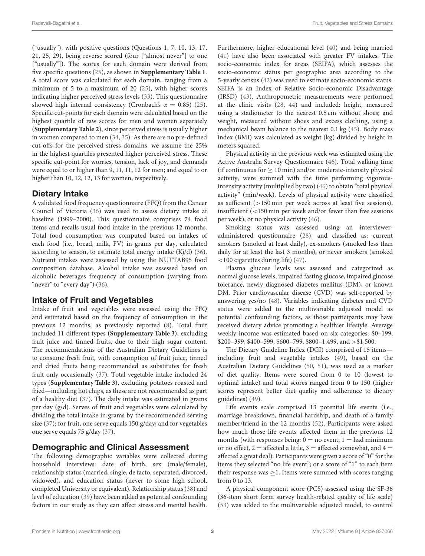("usually"), with positive questions (Questions 1, 7, 10, 13, 17, 21, 25, 29), being reverse scored (four ["almost never"] to one ["usually"]). The scores for each domain were derived from five specific questions [\(25\)](#page-11-23), as shown in **[Supplementary Table 1](#page-11-29)**. A total score was calculated for each domain, ranging from a minimum of 5 to a maximum of 20 [\(25\)](#page-11-23), with higher scores indicating higher perceived stress levels [\(33\)](#page-11-32). This questionnaire showed high internal consistency (Cronbach's  $\alpha = 0.85$ ) [\(25\)](#page-11-23). Specific cut-points for each domain were calculated based on the highest quartile of raw scores for men and women separately (**[Supplementary Table 2](#page-11-29)**), since perceived stress is usually higher in women compared to men [\(34,](#page-11-33) [35\)](#page-11-34). As there are no pre-defined cut-offs for the perceived stress domains, we assume the 25% in the highest quartiles presented higher perceived stress. These specific cut-point for worries, tension, lack of joy, and demands were equal to or higher than 9, 11, 11, 12 for men; and equal to or higher than 10, 12, 12, 13 for women, respectively.

## Dietary Intake

A validated food frequency questionnaire (FFQ) from the Cancer Council of Victoria [\(36\)](#page-11-35) was used to assess dietary intake at baseline (1999–2000). This questionnaire comprises 74 food items and recalls usual food intake in the previous 12 months. Total food consumption was computed based on intakes of each food (i.e., bread, milk, FV) in grams per day, calculated according to season, to estimate total energy intake (Kj/d) [\(36\)](#page-11-35). Nutrient intakes were assessed by using the NUTTAB95 food composition database. Alcohol intake was assessed based on alcoholic beverages frequency of consumption (varying from "never" to "every day") [\(36\)](#page-11-35).

## Intake of Fruit and Vegetables

Intake of fruit and vegetables were assessed using the FFQ and estimated based on the frequency of consumption in the previous 12 months, as previously reported [\(8\)](#page-11-7). Total fruit included 11 different types **[\(Supplementary Table 3\)](#page-11-29)**, excluding fruit juice and tinned fruits, due to their high sugar content. The recommendations of the Australian Dietary Guidelines is to consume fresh fruit, with consumption of fruit juice, tinned and dried fruits being recommended as substitutes for fresh fruit only occasionally [\(37\)](#page-12-0). Total vegetable intake included 24 types (**[Supplementary Table 3](#page-11-29)**), excluding potatoes roasted and fried—including hot chips, as these are not recommended as part of a healthy diet [\(37\)](#page-12-0). The daily intake was estimated in grams per day (g/d). Serves of fruit and vegetables were calculated by dividing the total intake in grams by the recommended serving size [\(37\)](#page-12-0): for fruit, one serve equals 150 g/day; and for vegetables one serve equals 75 g/day [\(37\)](#page-12-0).

## Demographic and Clinical Assessment

The following demographic variables were collected during household interviews: date of birth, sex (male/female), relationship status (married, single, de facto, separated, divorced, widowed), and education status (never to some high school, completed University or equivalent). Relationship status [\(38\)](#page-12-1) and level of education [\(39\)](#page-12-2) have been added as potential confounding factors in our study as they can affect stress and mental health. Furthermore, higher educational level [\(40\)](#page-12-3) and being married [\(41\)](#page-12-4) have also been associated with greater FV intakes. The socio-economic index for areas (SEIFA), which assesses the socio-economic status per geographic area according to the 5-yearly census [\(42\)](#page-12-5) was used to estimate socio-economic status. SEIFA is an Index of Relative Socio-economic Disadvantage (IRSD) [\(43\)](#page-12-6). Anthropometric measurements were performed at the clinic visits [\(28,](#page-11-26) [44\)](#page-12-7) and included: height, measured using a stadiometer to the nearest 0.5 cm without shoes; and weight, measured without shoes and excess clothing, using a mechanical beam balance to the nearest 0.1 kg [\(45\)](#page-12-8). Body mass index (BMI) was calculated as weight (kg) divided by height in meters squared.

Physical activity in the previous week was estimated using the Active Australia Survey Questionnaire [\(46\)](#page-12-9). Total walking time (if continuous for  $\geq 10$  min) and/or moderate-intensity physical activity, were summed with the time performing vigorousintensity activity (multiplied by two) [\(46\)](#page-12-9) to obtain "total physical activity" (min/week). Levels of physical activity were classified as sufficient (>150 min per week across at least five sessions), insufficient (<150 min per week and/or fewer than five sessions per week), or no physical activity [\(46\)](#page-12-9).

Smoking status was assessed using an intervieweradministered questionnaire [\(28\)](#page-11-26), and classified as: current smokers (smoked at least daily), ex-smokers (smoked less than daily for at least the last 3 months), or never smokers (smoked <100 cigarettes during life) [\(47\)](#page-12-10).

Plasma glucose levels was assessed and categorized as normal glucose levels, impaired fasting glucose, impaired glucose tolerance, newly diagnosed diabetes mellitus (DM), or known DM. Prior cardiovascular disease (CVD) was self-reported by answering yes/no [\(48\)](#page-12-11). Variables indicating diabetes and CVD status were added to the multivariable adjusted model as potential confounding factors, as those participants may have received dietary advice promoting a healthier lifestyle. Average weekly income was estimated based on six categories: \$0–199,  $$200-399, $400-599, $600-799, $800-1,499, and > $1,500.$ 

The Dietary Guideline Index (DGI) comprised of 15 items including fruit and vegetable intakes [\(49\)](#page-12-12), based on the Australian Dietary Guidelines [\(50,](#page-12-13) [51\)](#page-12-14), was used as a marker of diet quality. Items were scored from 0 to 10 (lowest to optimal intake) and total scores ranged from 0 to 150 (higher scores represent better diet quality and adherence to dietary guidelines) [\(49\)](#page-12-12).

Life events scale comprised 13 potential life events (i.e., marriage breakdown, financial hardship, and death of a family member/friend in the 12 months [\(52\)](#page-12-15). Participants were asked how much those life events affected them in the previous 12 months (with responses being:  $0 =$  no event,  $1 =$  had minimum or no effect,  $2$  = affected a little,  $3$  = affected somewhat, and  $4$  = affected a great deal). Participants were given a score of "0" for the items they selected "no life event"; or a score of "1" to each item their response was  $\geq$ 1. Items were summed with scores ranging from 0 to 13.

A physical component score (PCS) assessed using the SF-36 (36-item short form survey health-related quality of life scale) [\(53\)](#page-12-16) was added to the multivariable adjusted model, to control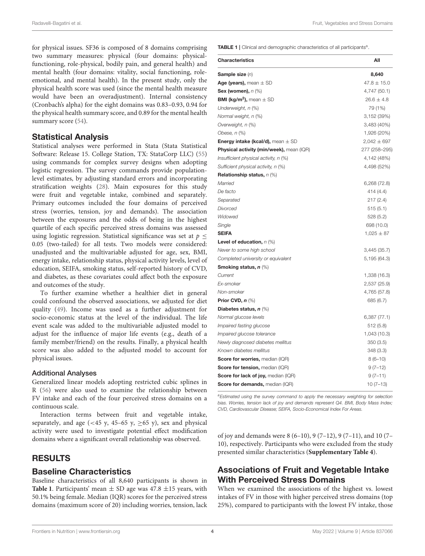for physical issues. SF36 is composed of 8 domains comprising two summary measures: physical (four domains: physicalfunctioning, role-physical, bodily pain, and general health) and mental health (four domains: vitality, social functioning, roleemotional, and mental health). In the present study, only the physical health score was used (since the mental health measure would have been an overadjustment). Internal consistency (Cronbach's alpha) for the eight domains was 0.83–0.93, 0.94 for the physical health summary score, and 0.89 for the mental health summary score [\(54\)](#page-12-17).

#### Statistical Analysis

Statistical analyses were performed in Stata (Stata Statistical Software: Release 15. College Station, TX: StataCorp LLC) [\(55\)](#page-12-18) using commands for complex survey designs when adopting logistic regression. The survey commands provide populationlevel estimates, by adjusting standard errors and incorporating stratification weights [\(28\)](#page-11-26). Main exposures for this study were fruit and vegetable intake, combined and separately. Primary outcomes included the four domains of perceived stress (worries, tension, joy and demands). The association between the exposures and the odds of being in the highest quartile of each specific perceived stress domains was assessed using logistic regression. Statistical significance was set at  $p \leq$ 0.05 (two-tailed) for all tests. Two models were considered: unadjusted and the multivariable adjusted for age, sex, BMI, energy intake, relationship status, physical activity levels, level of education, SEIFA, smoking status, self-reported history of CVD, and diabetes, as these covariates could affect both the exposure and outcomes of the study.

To further examine whether a healthier diet in general could confound the observed associations, we adjusted for diet quality [\(49\)](#page-12-12). Income was used as a further adjustment for socio-economic status at the level of the individual. The life event scale was added to the multivariable adjusted model to adjust for the influence of major life events (e.g., death of a family member/friend) on the results. Finally, a physical health score was also added to the adjusted model to account for physical issues.

#### Additional Analyses

Generalized linear models adopting restricted cubic splines in R [\(56\)](#page-12-19) were also used to examine the relationship between FV intake and each of the four perceived stress domains on a continuous scale.

Interaction terms between fruit and vegetable intake, separately, and age (<45 y, 45-65 y,  $\geq$ 65 y), sex and physical activity were used to investigate potential effect modification domains where a significant overall relationship was observed.

## RESULTS

#### Baseline Characteristics

Baseline characteristics of all 8,640 participants is shown in **[Table 1](#page-5-0)**. Participants' mean  $\pm$  SD age was 47.8  $\pm$ 15 years, with 50.1% being female. Median (IQR) scores for the perceived stress domains (maximum score of 20) including worries, tension, lack <span id="page-5-0"></span>TABLE 1 | Clinical and demographic characteristics of all participants<sup>a</sup>.

| <b>Characteristics</b>                                  | All             |
|---------------------------------------------------------|-----------------|
| Sample size $(n)$                                       | 8,640           |
| Age (years), mean $\pm$ SD                              | $47.8 \pm 15.0$ |
| Sex (women), $n$ $(\%)$                                 | 4,747 (50.1)    |
| <b>BMI (kg/m<sup>2</sup>)</b> , mean $\pm$ SD           | $26.6 \pm 4.8$  |
| Underweight, n (%)                                      | 79 (1%)         |
| Normal weight, n (%)                                    | 3,152 (39%)     |
| Overweight, n (%)                                       | 3,483 (40%)     |
| Obese, $n$ $(\%)$                                       | 1,926 (20%)     |
| <b>Energy intake (kcal/d), mean <math>\pm</math> SD</b> | $2,042 \pm 697$ |
| <b>Physical activity (min/week), mean (IQR)</b>         | 277 (258–295)   |
| Insufficient physical activity, n (%)                   | 4,142 (48%)     |
| Sufficient physical activity, n (%)                     | 4,498 (52%)     |
| Relationship status, $n$ (%)                            |                 |
| Married                                                 | 6,268 (72.8)    |
| De facto                                                | 414 (4.4)       |
| Separated                                               | 217(2.4)        |
| Divorced                                                | 515(5.1)        |
| Widowed                                                 | 528 (5.2)       |
| Single                                                  | 698 (10.0)      |
| <b>SEIFA</b>                                            | $1,025 \pm 87$  |
| Level of education, $n$ (%)                             |                 |
| Never to some high school                               | 3,445 (35.7)    |
| Completed university or equivalent                      | 5,195 (64.3)    |
| Smoking status, $n$ (%)                                 |                 |
| Current                                                 | 1,338 (16.3)    |
| Ex-smoker                                               | 2,537 (25.9)    |
| Non-smoker                                              | 4,765 (57.8)    |
| Prior CVD, $n$ $(\%)$                                   | 685 (6.7)       |
| Diabetes status, $n \gg 0$                              |                 |
| Normal glucose levels                                   | 6,387 (77.1)    |
| Impaired fasting glucose                                | 512(5.8)        |
| Impaired glucose tolerance                              | 1,043 (10.3)    |
| Newly diagnosed diabetes mellitus                       | 350(3.5)        |
| Known diabetes mellitus                                 | 348 (3.3)       |
| <b>Score for worries, median (IQR)</b>                  | $8(6-10)$       |
| Score for tension, median (IQR)                         | $9(7-12)$       |
| Score for lack of joy, median (IQR)                     | $9(7-11)$       |
| <b>Score for demands, median (IQR)</b>                  | $10(7-13)$      |

*<sup>a</sup>Estimated using the survey command to apply the necessary weighting for selection bias. Worries, tension lack of joy and demands represent Q4. BMI, Body Mass Index; CVD, Cardiovascular Disease; SEIFA, Socio-Economical Index For Areas.*

of joy and demands were 8 (6–10), 9 (7–12), 9 (7–11), and 10 (7– 10), respectively. Participants who were excluded from the study presented similar characteristics (**[Supplementary Table 4](#page-11-29)**).

## Associations of Fruit and Vegetable Intake With Perceived Stress Domains

When we examined the associations of the highest vs. lowest intakes of FV in those with higher perceived stress domains (top 25%), compared to participants with the lowest FV intake, those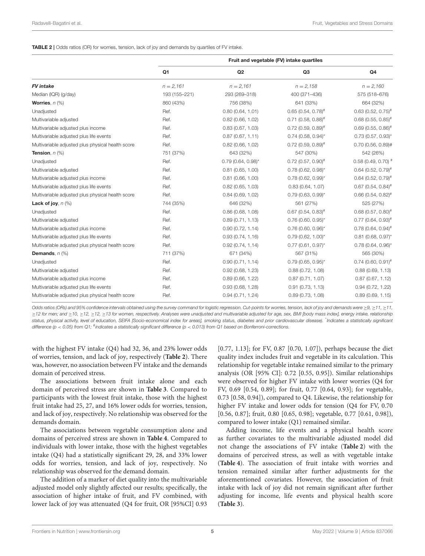<span id="page-6-0"></span>TABLE 2 | Odds ratios (OR) for worries, tension, lack of joy and demands by quartiles of FV intake.

|                                                   | Fruit and vegetable (FV) intake quartiles |                        |                                  |                                  |
|---------------------------------------------------|-------------------------------------------|------------------------|----------------------------------|----------------------------------|
|                                                   | Q <sub>1</sub>                            | Q2                     | Q <sub>3</sub>                   | Q <sub>4</sub>                   |
| <b>FV</b> intake                                  | $n = 2.161$                               | $n = 2,161$            | $n = 2,158$                      | $n = 2,160$                      |
| Median (IQR) (g/day)                              | 193 (155-221)                             | 293 (269-318)          | 400 (371-436)                    | 575 (518-676)                    |
| Worries, $n$ (%)                                  | 860 (43%)                                 | 756 (38%)              | 641 (33%)                        | 664 (32%)                        |
| Unadjusted                                        | Ref.                                      | 0.80(0.64, 1.01)       | $0.65(0.54, 0.78)^*$             | $0.63$ (0.52, 0.75) <sup>#</sup> |
| Multivariable adjusted                            | Ref.                                      | 0.82(0.66, 1.02)       | $0.71$ (0.58, 0.88) <sup>#</sup> | $0.68$ (0.55, 0.85) <sup>#</sup> |
| Multivariable adjusted plus income                | Ref.                                      | 0.83(0.67, 1.03)       | $0.72$ (0.59, 0.89) <sup>#</sup> | $0.69(0.55, 0.86)^*$             |
| Multivariable adjusted plus life events           | Ref.                                      | 0.87(0.67, 1.11)       | $0.74$ (0.58, 0.94)*             | $0.73(0.57, 0.93)^{*}$           |
| Multivariable adjusted plus physical health score | Ref.                                      | 0.82(0.66, 1.02)       | $0.72$ (0.59, 0.89) <sup>#</sup> | $0.70(0.56, 0.89)$ #             |
| Tension, $n$ (%)                                  | 751 (37%)                                 | 643 (32%)              | 547 (30%)                        | 542 (26%)                        |
| Unadjusted                                        | Ref.                                      | $0.79(0.64, 0.98)^{*}$ | $0.72(0.57, 0.90)^{\#}$          | $0.58$ (0.49, 0.70) $#$          |
| Multivariable adjusted                            | Ref.                                      | 0.81(0.65, 1.00)       | $0.78(0.62, 0.98)^{*}$           | $0.64$ (0.52, 0.79) <sup>#</sup> |
| Multivariable adjusted plus income                | Ref.                                      | $0.81$ (0.66, 1.00)    | $0.78(0.62, 0.99)^{*}$           | $0.64$ (0.52, 0.79) <sup>#</sup> |
| Multivariable adjusted plus life events           | Ref.                                      | 0.82(0.65, 1.03)       | 0.83(0.64, 1.07)                 | $0.67$ (0.54, 0.84) <sup>#</sup> |
| Multivariable adjusted plus physical health score | Ref.                                      | 0.84(0.69, 1.02)       | $0.79(0.63, 0.99)^{*}$           | $0.66(0.54, 0.82)^{#}$           |
| Lack of joy, $n$ (%)                              | 744 (35%)                                 | 646 (32%)              | 561 (27%)                        | 525 (27%)                        |
| Unadjusted                                        | Ref.                                      | 0.86(0.68, 1.08)       | $0.67$ (0.54, 0.83) <sup>#</sup> | $0.68(0.57, 0.80)^{\#}$          |
| Multivariable adjusted                            | Ref.                                      | 0.89(0.71, 1.13)       | $0.76(0.60, 0.95)^{*}$           | $0.77(0.64, 0.93)^{\#}$          |
| Multivariable adjusted plus income                | Ref.                                      | 0.90(0.72, 1.14)       | $0.76(0.60, 0.96)^{*}$           | $0.78$ (0.64, 0.94) <sup>#</sup> |
| Multivariable adjusted plus life events           | Ref.                                      | 0.93(0.74, 1.16)       | $0.79(0.62, 1.00)^{*}$           | $0.81$ (0.68, 0.97)*             |
| Multivariable adjusted plus physical health score | Ref.                                      | 0.92(0.74, 1.14)       | $0.77(0.61, 0.97)^{*}$           | $0.78(0.64, 0.96)^{*}$           |
| Demands, $n$ $(\%)$                               | 711 (37%)                                 | 671 (34%)              | 567 (31%)                        | 565 (30%)                        |
| Unadjusted                                        | Ref.                                      | 0.90(0.71, 1.14)       | $0.79(0.65, 0.95)^{*}$           | $0.74$ (0.60, 0.91) <sup>#</sup> |
| Multivariable adjusted                            | Ref.                                      | 0.92(0.68, 1.23)       | 0.88(0.72, 1.08)                 | 0.88(0.69, 1.13)                 |
| Multivariable adjusted plus income                | Ref.                                      | 0.89(0.66, 1.22)       | 0.87(0.71, 1.07)                 | 0.87(0.67, 1.12)                 |
| Multivariable adjusted plus life events           | Ref.                                      | 0.93(0.68, 1.28)       | 0.91(0.73, 1.13)                 | 0.94(0.72, 1.22)                 |
| Multivariable adjusted plus physical health score | Ref.                                      | 0.94(0.71, 1.24)       | 0.89(0.73, 1.08)                 | 0.89(0.69, 1.15)                 |

*Odds ratios (ORs) and 95% confidence intervals obtained using the survey command for logistic regression. Cut-points for worries, tension, lack of joy and demands were* ≥*9,* ≥*11,* ≥*11,* ≥*12 for men; and* ≥*10,* ≥*12,* ≥*12,* ≥*13 for women, respectively. Analyses were unadjusted and multivariable adjusted for age, sex, BMI [body mass index], energy intake, relationship status, physical activity, level of education, SEIFA [Socio-economical index for areas], smoking status, diabetes and prior cardiovascular disease).* \* *Indicates a statistically significant difference (p* < *0.05) from Q1;* # *indicates a statistically significant difference (p* < *0.013) from Q1 based on Bonferroni-corrections.*

with the highest FV intake (Q4) had 32, 36, and 23% lower odds of worries, tension, and lack of joy, respectively (**[Table 2](#page-6-0)**). There was, however, no association between FV intake and the demands domain of perceived stress.

The associations between fruit intake alone and each domain of perceived stress are shown in **[Table 3](#page-7-0)**. Compared to participants with the lowest fruit intake, those with the highest fruit intake had 25, 27, and 16% lower odds for worries, tension, and lack of joy, respectively. No relationship was observed for the demands domain.

The associations between vegetable consumption alone and domains of perceived stress are shown in **[Table 4](#page-8-0)**. Compared to individuals with lower intake, those with the highest vegetables intake (Q4) had a statistically significant 29, 28, and 33% lower odds for worries, tension, and lack of joy, respectively. No relationship was observed for the demand domain.

The addition of a marker of diet quality into the multivariable adjusted model only slightly affected our results; specifically, the association of higher intake of fruit, and FV combined, with lower lack of joy was attenuated (Q4 for fruit, OR [95%CI] 0.93

[0.77, 1.13]; for FV, 0.87 [0.70, 1.07]), perhaps because the diet quality index includes fruit and vegetable in its calculation. This relationship for vegetable intake remained similar to the primary analysis (OR [95% CI]: 0.72 [0.55, 0.95]). Similar relationships were observed for higher FV intake with lower worries (Q4 for FV, 0.69 [0.54, 0.89]; for fruit, 0.77 [0.64, 0.93]; for vegetable, 0.73 [0.58, 0.94]), compared to Q4. Likewise, the relationship for higher FV intake and lower odds for tension (Q4 for FV, 0.70 [0.56, 0.87]; fruit, 0.80 [0.65, 0.98]; vegetable, 0.77 [0.61, 0.98]), compared to lower intake (Q1) remained similar.

Adding income, life events and a physical health score as further covariates to the multivariable adjusted model did not change the associations of FV intake (**[Table 2](#page-6-0)**) with the domains of perceived stress, as well as with vegetable intake (**[Table 4](#page-8-0)**). The association of fruit intake with worries and tension remained similar after further adjustments for the aforementioned covariates. However, the association of fruit intake with lack of joy did not remain significant after further adjusting for income, life events and physical health score (**[Table 3](#page-7-0)**).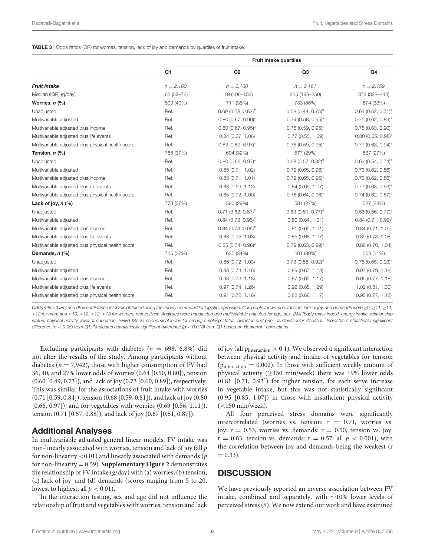<span id="page-7-0"></span>TABLE 3 | Odds ratios (OR) for worries, tension, lack of joy and demands by quartiles of fruit intake.

|                                                   | <b>Fruit intake quartiles</b> |                                  |                                  |                                  |
|---------------------------------------------------|-------------------------------|----------------------------------|----------------------------------|----------------------------------|
|                                                   | Q1                            | Q2                               | Q <sub>3</sub>                   | Q <sub>4</sub>                   |
| <b>Fruit intake</b>                               | $n = 2,160$                   | $n = 2,160$                      | $n = 2,161$                      | $n = 2,159$                      |
| Median (IQR) (g/day)                              | 62 (52-72)                    | 119 (106-133)                    | 225 (193-250)                    | 372 (322-448)                    |
| Worries, n (%)                                    | 803 (40%)                     | 711 (36%)                        | 733 (36%)                        | 674 (33%)                        |
| Unadjusted                                        | Ref.                          | $0.69(0.58, 0.82)^*$             | $0.58(0.44, 0.75)^*$             | $0.61$ (0.52, 0.71) <sup>#</sup> |
| Multivariable adjusted                            | Ref.                          | $0.80(0.67, 0.96)$ *             | $0.74$ (0.58, 0.95)*             | $0.75(0.62, 0.89)^{\#}$          |
| Multivariable adjusted plus income                | Ref.                          | $0.80$ (0.67, 0.95)*             | $0.75(0.59, 0.95)^{*}$           | $0.75$ (0.63, 0.90) <sup>#</sup> |
| Multivariable adjusted plus life events           | Ref.                          | 0.84(0.67, 1.06)                 | 0.77(0.55, 1.09)                 | $0.80$ (0.65, 0.98)*             |
| Multivariable adjusted plus physical health score | Ref.                          | $0.82$ (0.69, 0.97)*             | $0.75$ (0.59, 0.95)*             | $0.77$ (0.63, 0.94) <sup>#</sup> |
| Tension, $n$ $(\%)$                               | 765 (37%)                     | 604 (32%)                        | 577 (29%)                        | 537 (27%)                        |
| Unadjusted                                        | Ref.                          | $0.80$ (0.66, 0.97)*             | $0.68(0.57, 0.82)^*$             | $0.63(0.54, 0.74)^*$             |
| Multivariable adjusted                            | Ref.                          | 0.85(0.71, 1.02)                 | $0.79(0.65, 0.96)^{*}$           | $0.73(0.62, 0.86)^{\#}$          |
| Multivariable adjusted plus income                | Ref.                          | 0.85(0.71, 1.01)                 | $0.79(0.65, 0.96)$ *             | $0.73$ (0.62, 0.86) <sup>#</sup> |
| Multivariable adjusted plus life events           | Ref.                          | 0.88(0.69, 1.12)                 | 0.84(0.65, 1.07)                 | $0.77$ (0.63, 0.93) <sup>#</sup> |
| Multivariable adjusted plus physical health score | Ref.                          | 0.85(0.72, 1.00)                 | $0.78(0.64, 0.96)^{*}$           | $0.74$ (0.62, 0.87) <sup>#</sup> |
| Lack of joy, $n$ (%)                              | 778 (37%)                     | 590 (29%)                        | 581 (27%)                        | 527 (28%)                        |
| Unadjusted                                        | Ref.                          | $0.71$ (0.62, 0.81) <sup>#</sup> | $0.63$ (0.51, 0.77) <sup>#</sup> | $0.66$ (0.56, 0.77) <sup>#</sup> |
| Multivariable adjusted                            | Ref.                          | $0.84$ (0.73, 0.96) <sup>#</sup> | 0.80(0.64, 1.01)                 | $0.84$ (0.71, 0.99)*             |
| Multivariable adjusted plus income                | Ref.                          | $0.84(0.73, 0.96)^{\#}$          | 0.81(0.65, 1.01)                 | 0.84(0.71, 1.00)                 |
| Multivariable adjusted plus life events           | Ref.                          | 0.88(0.75, 1.03)                 | 0.85(0.68, 1.07)                 | 0.89(0.73, 1.08)                 |
| Multivariable adjusted plus physical health score | Ref.                          | $0.85(0.74, 0.96)$ *             | $0.79(0.63, 0.99)^{*}$           | 0.86(0.70, 1.04)                 |
| Demands, $n$ (%)                                  | 715 (37%)                     | 635 (34%)                        | 601 (30%)                        | 563 (31%)                        |
| Unadjusted                                        | Ref.                          | 0.86(0.72, 1.03)                 | $0.73$ (0.58, 0.92) <sup>#</sup> | $0.78$ (0.65, 0.93) <sup>#</sup> |
| Multivariable adjusted                            | Ref.                          | 0.93(0.74, 1.16)                 | 0.89(0.67, 1.18)                 | 0.97(0.79, 1.18)                 |
| Multivariable adjusted plus income                | Ref.                          | 0.93(0.73, 1.18)                 | 0.87(0.65, 1.17)                 | 0.95(0.77, 1.18)                 |
| Multivariable adjusted plus life events           | Ref.                          | 0.97(0.74, 1.26)                 | 0.92(0.65, 1.29)                 | 1.02(0.81, 1.30)                 |
| Multivariable adjusted plus physical health score | Ref.                          | 0.91(0.72, 1.16)                 | 0.88(0.66, 1.17)                 | 0.95(0.77, 1.18)                 |

*Odds ratios (ORs) and 95% confidence intervals obtained using the survey command for logistic regression. Cut-points for worries, tension, lack of joy, and demands were* ≥*9,* ≥*11,* ≥*11,* ≥*12 for men; and* ≥*10,* ≥*12,* ≥*12,* ≥*13 for women, respectively. Analyses were unadjusted and multivariable adjusted for age, sex, BMI [body mass index], energy intake, relationship status, physical activity, level of education, SEIFA [Socio-economical index for areas], smoking status, diabetes and prior cardiovascular disease).* \* *Indicates a statistically significant difference (p* < *0.05) from Q1;* # *indicates a statistically significant difference (p* < *0.013) from Q1 based on Bonferroni-corrections.*

Excluding participants with diabetes ( $n = 698, 6.8\%$ ) did not alter the results of the study. Among participants without diabetes ( $n = 7,942$ ), those with higher consumption of FV had 36, 40, and 27% lower odds of worries (0.64 [0.50, 0.80]), tension (0.60 [0.49, 0.73]), and lack of joy (0.73 [0.60, 0.89]), respectively. This was similar for the associations of fruit intake with worries (0.71 [0.59, 0.84]), tension (0.68 [0.59, 0.81]), and lack of joy (0.80 [0.66, 0.97]), and for vegetables with worries (0.69 [0.56, 1.11]), tension (0.71 [0.57, 0.88]), and lack of joy (0.67 [0.51, 0.87]).

## Additional Analyses

In multivariable adjusted general linear models, FV intake was non-linearly associated with worries, tension and lack of joy (all  $p$ for non-linearity  $<$  0.01) and linearly associated with demands ( $p$ for non-linearity = 0.59). **[Supplementary Figure 2](#page-11-29)** demonstrates the relationship of FV intake (g/day) with (a) worries, (b) tension, (c) lack of joy, and (d) demands (scores ranging from 5 to 20, lowest to highest; all  $p < 0.01$ ).

In the interaction testing, sex and age did not influence the relationship of fruit and vegetables with worries, tension and lack of joy (all  $p_{interaction} > 0.1$ ). We observed a significant interaction between physical activity and intake of vegetables for tension ( $p_{interaction} = 0.002$ ). In those with sufficient weekly amount of physical activity ( $\geq$ 150 min/week) there was 19% lower odds (0.81 [0.71, 0.93]) for higher tension, for each serve increase in vegetable intake, but this was not statistically significant (0.95 [0.85, 1.07]) in those with insufficient physical activity  $(<$ 150 min/week).

All four perceived stress domains were significantly intercorrelated (worries vs. tension:  $r = 0.71$ , worries vs. joy:  $r = 0.53$ , worries vs. demands:  $r = 0.50$ , tension vs. joy:  $r = 0.63$ , tension vs. demands:  $r = 0.57$ : all  $p < 0.001$ ), with the correlation between joy and demands being the weakest (r  $= 0.33$ ).

## **DISCUSSION**

We have previously reported an inverse association between FV intake, combined and separately, with ∼10% lower levels of perceived stress [\(8\)](#page-11-7). We now extend our work and have examined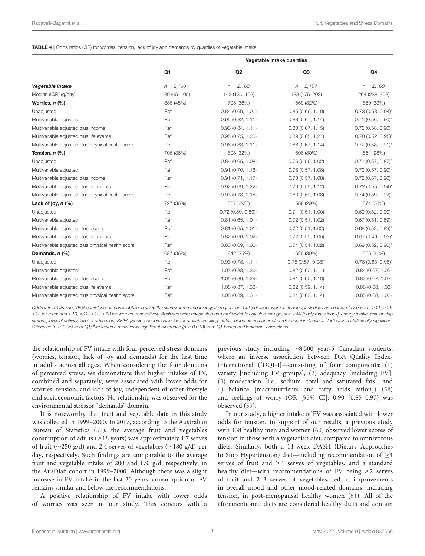<span id="page-8-0"></span>TABLE 4 | Odds ratios (OR) for worries, tension, lack of joy and demands by quartiles of vegetable intake.

|                                                   | Vegetable intake quartiles |                         |                      |                                  |
|---------------------------------------------------|----------------------------|-------------------------|----------------------|----------------------------------|
|                                                   | Q1                         | Q2                      | Q <sub>3</sub>       | Q <sub>4</sub>                   |
| Vegetable intake                                  | $n = 2,160$                | $n = 2,163$             | $n = 2.157$          | $n = 2,160$                      |
| Median (IQR) (g/day)                              | 89 (65-105)                | 142 (130-153)           | 188 (175-202)        | 264 (238-308)                    |
| Worries, n (%)                                    | 888 (45%)                  | 705 (36%)               | 669 (32%)            | 659 (33%)                        |
| Unadjusted                                        | Ref.                       | 0.84(0.69, 1.01)        | 0.85(0.66, 1.10)     | $0.73$ (0.58, 0.94)*             |
| Multivariable adjusted                            | Ref.                       | 0.95(0.82, 1.11)        | 0.88(0.67, 1.14)     | $0.71$ (0.56, 0.90) <sup>#</sup> |
| Multivariable adjusted plus income                | Ref.                       | 0.96(0.84, 1.11)        | 0.88(0.67, 1.15)     | $0.72$ (0.58, 0.90) <sup>#</sup> |
| Multivariable adjusted plus life events           | Ref.                       | 0.95(0.75, 1.20)        | 0.89(0.65, 1.21)     | $0.70$ (0.52, 0.95)*             |
| Multivariable adjusted plus physical health score | Ref.                       | 0.96(0.83, 1.11)        | 0.88(0.67, 1.14)     | $0.72$ (0.58, 0.91) <sup>#</sup> |
| Tension, $n$ (%)                                  | 706 (36%)                  | 608 (32%)               | 608 (30%)            | 561 (28%)                        |
| Unadjusted                                        | Ref.                       | 0.84(0.65, 1.08)        | 0.76(0.56, 1.02)     | $0.71$ (0.57, 0.87) <sup>#</sup> |
| Multivariable adjusted                            | Ref.                       | 0.91(0.70, 1.16)        | 0.78(0.57, 1.08)     | $0.72$ (0.57, 0.90) <sup>#</sup> |
| Multivariable adjusted plus income                | Ref.                       | 0.91(0.71, 1.17)        | 0.78(0.57, 1.08)     | $0.72$ (0.57, 0.90) <sup>#</sup> |
| Multivariable adjusted plus life events           | Ref.                       | 0.92(0.69, 1.22)        | 0.79(0.55, 1.12)     | $0.72$ (0.55, 0.94)*             |
| Multivariable adjusted plus physical health score | Ref.                       | 0.93(0.73, 1.18)        | 0.80(0.59, 1.08)     | $0.74$ (0.59, 0.92) <sup>#</sup> |
| Lack of joy, $n$ (%)                              | 727 (36%)                  | 587 (29%)               | 588 (29%)            | 574 (28%)                        |
| Unadjusted                                        | Ref.                       | $0.72(0.59, 0.89)^{\#}$ | 0.71(0.51, 1.00)     | $0.69(0.52, 0.90)^{\#}$          |
| Multivariable adjusted                            | Ref.                       | 0.81(0.65, 1.01)        | 0.72(0.51, 1.02)     | $0.67$ (0.51, 0.89) <sup>#</sup> |
| Multivariable adjusted plus income                | Ref.                       | 0.81(0.65, 1.01)        | 0.72(0.51, 1.02)     | $0.68$ (0.52, 0.89) <sup>#</sup> |
| Multivariable adjusted plus life events           | Ref.                       | 0.82(0.66, 1.02)        | $0.72$ (0.50, 1.05)  | $0.67$ (0.49, 0.93)*             |
| Multivariable adjusted plus physical health score | Ref.                       | 0.83(0.69, 1.00)        | 0.74(0.54, 1.02)     | $0.69(0.52, 0.90)^{\#}$          |
| Demands, $n$ (%)                                  | 687 (36%)                  | 642 (35%)               | 620 (30%)            | 565 (31%)                        |
| Unadjusted                                        | Ref.                       | 0.93(0.78, 1.11)        | $0.75$ (0.57, 0.98)* | $0.78$ (0.63, 0.98)*             |
| Multivariable adjusted                            | Ref.                       | 1.07 (0.88, 1.30)       | 0.82(0.60, 1.11)     | 0.84(0.67, 1.05)                 |
| Multivariable adjusted plus income                | Ref.                       | 1.05 (0.86, 1.29)       | $0.81$ (0.60, 1.10)  | $0.82$ (0.67, 1.02)              |
| Multivariable adjusted plus life events           | Ref.                       | 1.08 (0.87, 1.33)       | 0.82(0.59, 1.14)     | 0.86(0.68, 1.08)                 |
| Multivariable adjusted plus physical health score | Ref.                       | 1.08 (0.89, 1.31)       | 0.84(0.62, 1.14)     | 0.85(0.68, 1.06)                 |

*Odds ratios (ORs) and 95% confidence intervals obtained using the survey command for logistic regression. Cut-points for worries, tension, lack of joy and demands were* ≥*9,* ≥*11,* ≥*11,* ≥*12 for men; and* ≥*10,* ≥*12,* ≥*12,* ≥*13 for women, respectively. Analyses were unadjusted and multivariable adjusted for age, sex, BMI [body mass index], energy intake, relationship status, physical activity, level of education, SEIFA [Socio-economical index for areas], smoking status, diabetes and prior of cardiovascular disease).* \* *Indicates a statistically significant difference (p* < *0.05) from Q1;* # *indicates a statistically significant difference (p* < *0.013) from Q1 based on Bonferroni-corrections.*

the relationship of FV intake with four perceived stress domains (worries, tension, lack of joy and demands) for the first time in adults across all ages. When considering the four domains of perceived stress, we demonstrate that higher intakes of FV, combined and separately, were associated with lower odds for worries, tension, and lack of joy, independent of other lifestyle and socioeconomic factors. No relationship was observed for the environmental stressor "demands" domain.

It is noteworthy that fruit and vegetable data in this study was collected in 1999–2000. In 2017, according to the Australian Bureau of Statistics [\(57\)](#page-12-20), the average fruit and vegetables consumption of adults ( $\geq$ 18 years) was approximately 1.7 serves of fruit (∼250 g/d) and 2.4 serves of vegetables (∼180 g/d) per day, respectively. Such findings are comparable to the average fruit and vegetable intake of 200 and 170 g/d, respectively, in the AusDiab cohort in 1999–2000. Although there was a slight increase in FV intake in the last 20 years, consumption of FV remains similar and below the recommendations.

A positive relationship of FV intake with lower odds of worries was seen in our study. This concurs with a

previous study including ∼8,500 year-5 Canadian students, where an inverse association between Diet Quality Index-International ([DQI-I]—consisting of four components: [\(1\)](#page-11-0) variety [including FV groups], [\(2\)](#page-11-1) adequacy [including FV], [\(3\)](#page-11-2) moderation [i.e., sodium, total and saturated fats], and 4) balance [macronutrients and fatty acids ration]) [\(58\)](#page-12-21) and feelings of worry (OR [95% CI]: 0.90 (0.85–0.97) was observed [\(59\)](#page-12-22).

In our study, a higher intake of FV was associated with lower odds for tension. In support of our results, a previous study with 138 healthy men and women [\(60\)](#page-12-23) observed lower scores of tension in those with a vegetarian diet, compared to omnivorous diets. Similarly, both a 14-week DASH (Dietary Approaches to Stop Hypertension) diet—including recommendation of  $\geq$ 4 serves of fruit and ≥4 serves of vegetables, and a standard healthy diet—with recommendations of FV being  $\geq 2$  serves of fruit and 2–3 serves of vegetables, led to improvements in overall mood and other mood-related domains, including tension, in post-menopausal healthy women [\(61\)](#page-12-24). All of the aforementioned diets are considered healthy diets and contain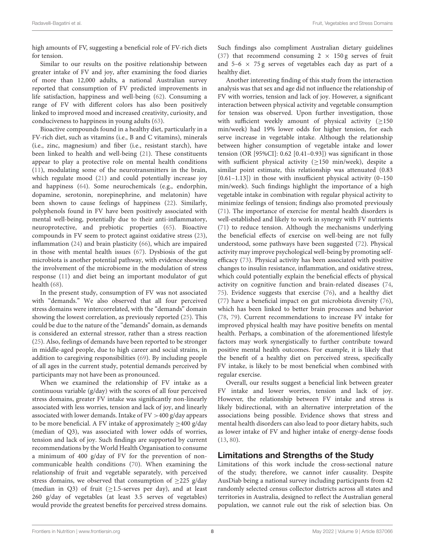high amounts of FV, suggesting a beneficial role of FV-rich diets for tension.

Similar to our results on the positive relationship between greater intake of FV and joy, after examining the food diaries of more than 12,000 adults, a national Australian survey reported that consumption of FV predicted improvements in life satisfaction, happiness and well-being [\(62\)](#page-12-25). Consuming a range of FV with different colors has also been positively linked to improved mood and increased creativity, curiosity, and conduciveness to happiness in young adults [\(63\)](#page-12-26).

Bioactive compounds found in a healthy diet, particularly in a FV-rich diet, such as vitamins (i.e., B and C vitamins), minerals (i.e., zinc, magnesium) and fiber (i.e., resistant starch), have been linked to health and well-being [\(21\)](#page-11-19). These constituents appear to play a protective role on mental health conditions [\(11\)](#page-11-10), modulating some of the neurotransmitters in the brain, which regulate mood [\(21\)](#page-11-19) and could potentially increase joy and happiness [\(64\)](#page-12-27). Some neurochemicals (e.g., endorphin, dopamine, serotonin, norepinephrine, and melatonin) have been shown to cause feelings of happiness [\(22\)](#page-11-20). Similarly, polyphenols found in FV have been positively associated with mental well-being, potentially due to their anti-inflammatory, neuroprotective, and prebiotic properties [\(65\)](#page-12-28). Bioactive compounds in FV seem to protect against oxidative stress [\(23\)](#page-11-21), inflammation [\(24\)](#page-11-22) and brain plasticity [\(66\)](#page-12-29), which are impaired in those with mental health issues [\(67\)](#page-12-30). Dysbiosis of the gut microbiota is another potential pathway, with evidence showing the involvement of the microbiome in the modulation of stress response [\(11\)](#page-11-10) and diet being an important modulator of gut health [\(68\)](#page-12-31).

In the present study, consumption of FV was not associated with "demands." We also observed that all four perceived stress domains were intercorrelated, with the "demands" domain showing the lowest correlation, as previously reported [\(25\)](#page-11-23). This could be due to the nature of the "demands" domain, as demands is considered an external stressor, rather than a stress reaction [\(25\)](#page-11-23). Also, feelings of demands have been reported to be stronger in middle-aged people, due to high career and social strains, in addition to caregiving responsibilities [\(69\)](#page-12-32). By including people of all ages in the current study, potential demands perceived by participants may not have been as pronounced.

When we examined the relationship of FV intake as a continuous variable (g/day) with the scores of all four perceived stress domains, greater FV intake was significantly non-linearly associated with less worries, tension and lack of joy, and linearly associated with lower demands. Intake of FV >400 g/day appears to be more beneficial. A FV intake of approximately  $\geq$ 400 g/day (median of Q3), was associated with lower odds of worries, tension and lack of joy. Such findings are supported by current recommendations by the World Health Organisation to consume a minimum of 400 g/day of FV for the prevention of noncommunicable health conditions [\(70\)](#page-12-33). When examining the relationship of fruit and vegetable separately, with perceived stress domains, we observed that consumption of  $\geq$ 225 g/day (median in Q3) of fruit ( $\geq$ 1.5-serves per day), and at least 260 g/day of vegetables (at least 3.5 serves of vegetables) would provide the greatest benefits for perceived stress domains. Such findings also compliment Australian dietary guidelines [\(37\)](#page-12-0) that recommend consuming  $2 \times 150$  g serves of fruit and  $5-6 \times 75$  g serves of vegetables each day as part of a healthy diet.

Another interesting finding of this study from the interaction analysis was that sex and age did not influence the relationship of FV with worries, tension and lack of joy. However, a significant interaction between physical activity and vegetable consumption for tension was observed. Upon further investigation, those with sufficient weekly amount of physical activity ( $\geq$ 150 min/week) had 19% lower odds for higher tension, for each serve increase in vegetable intake. Although the relationship between higher consumption of vegetable intake and lower tension (OR  $[95\%$ CI]: 0.62  $[0.41-0.93]$ ) was significant in those with sufficient physical activity ( $\geq$ 150 min/week), despite a similar point estimate, this relationship was attenuated (0.83 [0.61–1.13]) in those with insufficient physical activity (0–150 min/week). Such findings highlight the importance of a high vegetable intake in combination with regular physical activity to minimize feelings of tension; findings also promoted previously [\(71\)](#page-12-34). The importance of exercise for mental health disorders is well-established and likely to work in synergy with FV nutrients [\(71\)](#page-12-34) to reduce tension. Although the mechanisms underlying the beneficial effects of exercise on well-being are not fully understood, some pathways have been suggested [\(72\)](#page-12-35). Physical activity may improve psychological well-being by promoting selfefficacy [\(73\)](#page-12-36). Physical activity has been associated with positive changes to insulin resistance, inflammation, and oxidative stress, which could potentially explain the beneficial effects of physical activity on cognitive function and brain-related diseases [\(74,](#page-12-37) [75\)](#page-12-38). Evidence suggests that exercise [\(76\)](#page-12-39), and a healthy diet [\(77\)](#page-12-40) have a beneficial impact on gut microbiota diversity [\(76\)](#page-12-39), which has been linked to better brain processes and behavior [\(78,](#page-12-41) [79\)](#page-12-42). Current recommendations to increase FV intake for improved physical health may have positive benefits on mental health. Perhaps, a combination of the aforementioned lifestyle factors may work synergistically to further contribute toward positive mental health outcomes. For example, it is likely that the benefit of a healthy diet on perceived stress, specifically FV intake, is likely to be most beneficial when combined with regular exercise.

Overall, our results suggest a beneficial link between greater FV intake and lower worries, tension and lack of joy. However, the relationship between FV intake and stress is likely bidirectional, with an alternative interpretation of the associations being possible. Evidence shows that stress and mental health disorders can also lead to poor dietary habits, such as lower intake of FV and higher intake of energy-dense foods [\(13,](#page-11-36) [80\)](#page-12-43).

## Limitations and Strengths of the Study

Limitations of this work include the cross-sectional nature of the study; therefore, we cannot infer causality. Despite AusDiab being a national survey including participants from 42 randomly selected census collector districts across all states and territories in Australia, designed to reflect the Australian general population, we cannot rule out the risk of selection bias. On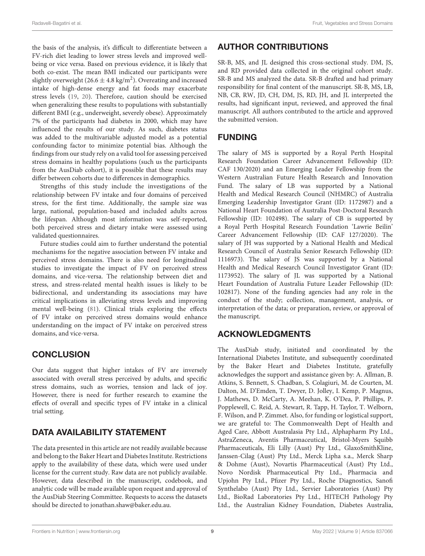the basis of the analysis, it's difficult to differentiate between a FV-rich diet leading to lower stress levels and improved wellbeing or vice versa. Based on previous evidence, it is likely that both co-exist. The mean BMI indicated our participants were slightly overweight (26.6  $\pm$  4.8 kg/m<sup>2</sup>). Overeating and increased intake of high-dense energy and fat foods may exacerbate stress levels [\(19,](#page-11-17) [20\)](#page-11-18). Therefore, caution should be exercised when generalizing these results to populations with substantially different BMI (e.g., underweight, severely obese). Approximately 7% of the participants had diabetes in 2000, which may have influenced the results of our study. As such, diabetes status was added to the multivariable adjusted model as a potential confounding factor to minimize potential bias. Although the findings from our study rely on a valid tool for assessing perceived stress domains in healthy populations (such us the participants from the AusDiab cohort), it is possible that these results may differ between cohorts due to differences in demographics.

Strengths of this study include the investigations of the relationship between FV intake and four domains of perceived stress, for the first time. Additionally, the sample size was large, national, population-based and included adults across the lifespan. Although most information was self-reported, both perceived stress and dietary intake were assessed using validated questionnaires.

Future studies could aim to further understand the potential mechanisms for the negative association between FV intake and perceived stress domains. There is also need for longitudinal studies to investigate the impact of FV on perceived stress domains, and vice-versa. The relationship between diet and stress, and stress-related mental health issues is likely to be bidirectional, and understanding its associations may have critical implications in alleviating stress levels and improving mental well-being [\(81\)](#page-12-44). Clinical trials exploring the effects of FV intake on perceived stress domains would enhance understanding on the impact of FV intake on perceived stress domains, and vice-versa.

# **CONCLUSION**

Our data suggest that higher intakes of FV are inversely associated with overall stress perceived by adults, and specific stress domains, such as worries, tension and lack of joy. However, there is need for further research to examine the effects of overall and specific types of FV intake in a clinical trial setting.

# DATA AVAILABILITY STATEMENT

The data presented in this article are not readily available because and belong to the Baker Heart and Diabetes Institute. Restrictions apply to the availability of these data, which were used under license for the current study. Raw data are not publicly available. However, data described in the manuscript, codebook, and analytic code will be made available upon request and approval of the AusDiab Steering Committee. Requests to access the datasets should be directed to jonathan.shaw@baker.edu.au.

# AUTHOR CONTRIBUTIONS

SR-B, MS, and JL designed this cross-sectional study. DM, JS, and RD provided data collected in the original cohort study. SR-B and MS analyzed the data. SR-B drafted and had primary responsibility for final content of the manuscript. SR-B, MS, LB, NB, CB, RW, JD, CH, DM, JS, RD, JH, and JL interpreted the results, had significant input, reviewed, and approved the final manuscript. All authors contributed to the article and approved the submitted version.

# FUNDING

The salary of MS is supported by a Royal Perth Hospital Research Foundation Career Advancement Fellowship (ID: CAF 130/2020) and an Emerging Leader Fellowship from the Western Australian Future Health Research and Innovation Fund. The salary of LB was supported by a National Health and Medical Research Council (NHMRC) of Australia Emerging Leadership Investigator Grant (ID: 1172987) and a National Heart Foundation of Australia Post-Doctoral Research Fellowship (ID: 102498). The salary of CB is supported by a Royal Perth Hospital Research Foundation 'Lawrie Beilin' Career Advancement Fellowship (ID: CAF 127/2020). The salary of JH was supported by a National Health and Medical Research Council of Australia Senior Research Fellowship (ID: 1116973). The salary of JS was supported by a National Health and Medical Research Council Investigator Grant (ID: 1173952). The salary of JL was supported by a National Heart Foundation of Australia Future Leader Fellowship (ID: 102817). None of the funding agencies had any role in the conduct of the study; collection, management, analysis, or interpretation of the data; or preparation, review, or approval of the manuscript.

# ACKNOWLEDGMENTS

The AusDiab study, initiated and coordinated by the International Diabetes Institute, and subsequently coordinated by the Baker Heart and Diabetes Institute, gratefully acknowledges the support and assistance given by: A. Allman, B. Atkins, S. Bennett, S. Chadban, S. Colagiuri, M. de Courten, M. Dalton, M. D'Emden, T. Dwyer, D. Jolley, I. Kemp, P. Magnus, J. Mathews, D. McCarty, A. Meehan, K. O'Dea, P. Phillips, P. Popplewell, C. Reid, A. Stewart, R. Tapp, H. Taylor, T. Welborn, F. Wilson, and P. Zimmet. Also, for funding or logistical support, we are grateful to: The Commonwealth Dept of Health and Aged Care, Abbott Australasia Pty Ltd., Alphapharm Pty Ltd., AstraZeneca, Aventis Pharmaceutical, Bristol-Myers Squibb Pharmaceuticals, Eli Lilly (Aust) Pty Ltd., GlaxoSmithKline, Janssen-Cilag (Aust) Pty Ltd., Merck Lipha s.a., Merck Sharp & Dohme (Aust), Novartis Pharmaceutical (Aust) Pty Ltd., Novo Nordisk Pharmaceutical Pty Ltd., Pharmacia and Upjohn Pty Ltd., Pfizer Pty Ltd., Roche Diagnostics, Sanofi Synthelabo (Aust) Pty Ltd., Servier Laboratories (Aust) Pty Ltd., BioRad Laboratories Pty Ltd., HITECH Pathology Pty Ltd., the Australian Kidney Foundation, Diabetes Australia,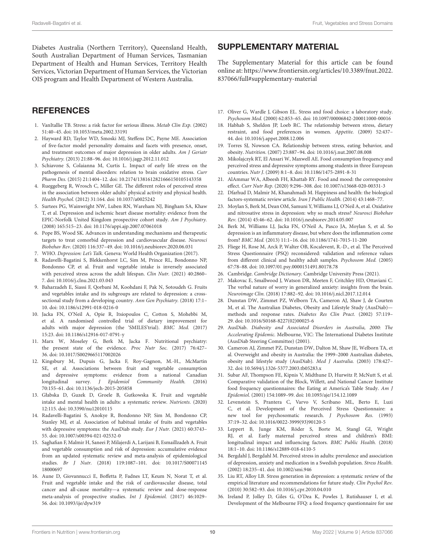Diabetes Australia (Northern Territory), Queensland Health, South Australian Department of Human Services, Tasmanian Department of Health and Human Services, Territory Health Services, Victorian Department of Human Services, the Victorian OIS program and Health Department of Western Australia.

## **REFERENCES**

- <span id="page-11-0"></span>1. VanItallie TB. Stress: a risk factor for serious illness. Metab Clin Exp. (2002) 51:40–45. doi: [10.1053/meta.2002.33191](https://doi.org/10.1053/meta.2002.33191)
- <span id="page-11-1"></span>2. Hayward RD, Taylor WD, Smoski MJ, Steffens DC, Payne ME. Association of five-factor model personality domains and facets with presence, onset, and treatment outcomes of major depression in older adults. Am J Geriatr Psychiatry. (2013) 21:88–96. doi: [10.1016/j.jagp.2012.11.012](https://doi.org/10.1016/j.jagp.2012.11.012)
- <span id="page-11-2"></span>3. Schiavone S, Colaianna M, Curtis L. Impact of early life stress on the pathogenesis of mental disorders: relation to brain oxidative stress. Curr Pharm Des. (2015) 21:1404–12. doi: [10.2174/1381612821666150105143358](https://doi.org/10.2174/1381612821666150105143358)
- <span id="page-11-3"></span>4. Rueggeberg R, Wrosch C, Miller GE. The different roles of perceived stress in the association between older adults' physical activity and physical health. Health Psychol. (2012) 31:164. doi: [10.1037/a0025242](https://doi.org/10.1037/a0025242)
- <span id="page-11-4"></span>5. Surtees PG, Wainwright NW, Luben RN, Wareham NJ, Bingham SA, Khaw T, et al. Depression and ischemic heart disease mortality: evidence from the EPIC-Norfolk United Kingdom prospective cohort study. Am J Psychiatry. (2008) 165:515–23. doi: [10.1176/appi.ajp.2007.07061018](https://doi.org/10.1176/appi.ajp.2007.07061018)
- <span id="page-11-5"></span>6. Pope BS, Wood SK. Advances in understanding mechanisms and therapeutic targets to treat comorbid depression and cardiovascular disease. Neurosci Biobehav Rev. (2020) 116:337–49. doi: [10.1016/j.neubiorev.2020.06.031](https://doi.org/10.1016/j.neubiorev.2020.06.031)
- <span id="page-11-6"></span>7. WHO. Depression: Let's Talk. Geneva: World Health Organization (2017).
- <span id="page-11-7"></span>8. Radavelli-Bagatini S, Blekkenhorst LC, Sim M, Prince RL, Bondonno NP, Bondonno CP, et al. Fruit and vegetable intake is inversely associated with perceived stress across the adult lifespan. Clin Nutr. (2021) 40:2860– 7. doi: [10.1016/j.clnu.2021.03.043](https://doi.org/10.1016/j.clnu.2021.03.043)
- <span id="page-11-8"></span>9. Baharzadeh E, Siassi F, Qorbani M, Koohdani F, Pak N, Sotoudeh G. Fruits and vegetables intake and its subgroups are related to depression: a crosssectional study from a developing country. Ann Gen Psychiatry. (2018) 17:1– 10. doi: [10.1186/s12991-018-0216-0](https://doi.org/10.1186/s12991-018-0216-0)
- <span id="page-11-9"></span>10. Jacka FN, O'Neil A, Opie R, Itsiopoulos C, Cotton S, Mohebbi M, et al. A randomised controlled trial of dietary improvement for adults with major depression (the 'SMILES'trial). BMC Med. (2017) 15:23. doi: [10.1186/s12916-017-0791-y](https://doi.org/10.1186/s12916-017-0791-y)
- <span id="page-11-10"></span>11. Marx W, Moseley G, Berk M, Jacka F. Nutritional psychiatry: the present state of the evidence. Proc Nutr Soc. (2017) 76:427– 36. doi: [10.1017/S0029665117002026](https://doi.org/10.1017/S0029665117002026)
- <span id="page-11-11"></span>12. Kingsbury M, Dupuis G, Jacka F, Roy-Gagnon, M.-H., McMartin SE, et al. Associations between fruit and vegetable consumption and depressive symptoms: evidence from a national Canadian longitudinal survey. J Epidemiol Community Health. (2016) 70:155–61. doi: [10.1136/jech-2015-205858](https://doi.org/10.1136/jech-2015-205858)
- <span id="page-11-36"></span>13. Głabska D, Guzek D, Groele B, Gutkowska K. Fruit and vegetable intake and mental health in adults: a systematic review. Nutrients. (2020) 12:115. doi: [10.3390/nu12010115](https://doi.org/10.3390/nu12010115)
- <span id="page-11-12"></span>14. Radavelli-Bagatini S, Anokye R, Bondonno NP, Sim M, Bondonno CP, Stanley MJ, et al. Association of habitual intake of fruits and vegetables with depressive symptoms: the AusDiab study. Eur J Nutr. (2021) 60:3743– 55. doi: [10.1007/s00394-021-02532-0](https://doi.org/10.1007/s00394-021-02532-0)
- <span id="page-11-13"></span>15. Saghafian F, Malmir H, Saneei P, Milajerdi A, Larijani B, Esmaillzadeh A. Fruit and vegetable consumption and risk of depression: accumulative evidence from an updated systematic review and meta-analysis of epidemiological studies. Br J Nutr. [\(2018\) 119:1087–101. doi: 10.1017/S00071145](https://doi.org/10.1017/S0007114518000697) 18000697
- <span id="page-11-14"></span>16. Aune D, Giovannucci E, Boffetta P, Fadnes LT, Keum N, Norat T, et al. Fruit and vegetable intake and the risk of cardiovascular disease, total cancer and all-cause mortality—a systematic review and dose-response meta-analysis of prospective studies. Int J Epidemiol. (2017) 46:1029– 56. doi: [10.1093/ije/dyw319](https://doi.org/10.1093/ije/dyw319)

## SUPPLEMENTARY MATERIAL

<span id="page-11-29"></span>The Supplementary Material for this article can be found [online at: https://www.frontiersin.org/articles/10.3389/fnut.2022.](https://www.frontiersin.org/articles/10.3389/fnut.2022.837066/full#supplementary-material) 837066/full#supplementary-material

- <span id="page-11-15"></span>17. Oliver G, Wardle J, Gibson EL. Stress and food choice: a laboratory study. Psychosom Med. (2000) 62:853–65. doi: [10.1097/00006842-200011000-00016](https://doi.org/10.1097/00006842-200011000-00016)
- <span id="page-11-16"></span>18. Habhab S, Sheldon JP, Loeb RC. The relationship between stress, dietary restraint, and food preferences in women. Appetite. (2009) 52:437– 44. doi: [10.1016/j.appet.2008.12.006](https://doi.org/10.1016/j.appet.2008.12.006)
- <span id="page-11-17"></span>19. Torres SJ, Nowson CA. Relationship between stress, eating behavior, and obesity. Nutrition. (2007) 23:887–94. doi: [10.1016/j.nut.2007.08.008](https://doi.org/10.1016/j.nut.2007.08.008)
- <span id="page-11-18"></span>20. Mikolajczyk RT, El Ansari W, Maxwell AE. Food consumption frequency and perceived stress and depressive symptoms among students in three European countries. Nutr J. (2009) 8:1–8. doi: [10.1186/1475-2891-8-31](https://doi.org/10.1186/1475-2891-8-31)
- <span id="page-11-19"></span>21. AlAmmar WA, Albeesh FH, Khattab RY. Food and mood: the corresponsive effect. Curr Nutr Rep. (2020) 9:296–308. doi: [10.1007/s13668-020-00331-3](https://doi.org/10.1007/s13668-020-00331-3)
- <span id="page-11-20"></span>22. Dfarhud D, Malmir M, Khanahmadi M. Happiness and health: the biological factors-systematic review article. Iran J Public Health. (2014) 43:1468–77.
- <span id="page-11-21"></span>23. Moylan S, Berk M, Dean OM, Samuni Y, Williams LJ, O'Neil A, et al. Oxidative and nitrosative stress in depression: why so much stress? Neurosci Biobehav Rev. (2014) 45:46–62. doi: [10.1016/j.neubiorev.2014.05.007](https://doi.org/10.1016/j.neubiorev.2014.05.007)
- <span id="page-11-22"></span>24. Berk M, Williams LJ, Jacka FN, O'Neil A, Pasco JA, Moylan S, et al. So depression is an inflammatory disease, but where does the inflammation come from? BMC Med. (2013) 11:1–16. doi: [10.1186/1741-7015-11-200](https://doi.org/10.1186/1741-7015-11-200)
- <span id="page-11-23"></span>25. Fliege H, Rose M, Arck P, Walter OB, Kocalevent, R.-D., et al. The Perceived Stress Questionnaire (PSQ) reconsidered: validation and reference values from different clinical and healthy adult samples. Psychosom Med. (2005) 67:78–88. doi: [10.1097/01.psy.0000151491.80178.78](https://doi.org/10.1097/01.psy.0000151491.80178.78)
- <span id="page-11-24"></span>26. Cambridge. Cambridge Dictionary. Cambridge University Press (2021).
- <span id="page-11-25"></span>27. Makovac E, Smallwood J, Watson DR, Meeten F, Critchley HD, Ottaviani C. The verbal nature of worry in generalized anxiety: insights from the brain. Neuroimage Clin. (2018) 17:882–92. doi: [10.1016/j.nicl.2017.12.014](https://doi.org/10.1016/j.nicl.2017.12.014)
- <span id="page-11-26"></span>28. Dunstan DW, Zimmet PZ, Welborn TA, Cameron AJ, Shaw J, de Courten M, et al. The Australian Diabetes, Obesity and Lifestyle Study (AusDiab) methods and response rates. Diabetes Res Clin Pract. (2002) 57:119– 29. doi: [10.1016/S0168-8227\(02\)00025-6](https://doi.org/10.1016/S0168-8227(02)00025-6)
- <span id="page-11-27"></span>29. AusDiab. Diabesity and Associated Disorders in Australia, 2000: The Accelerating Epidemic. Melbourne, VIC: The International Diabetes Institute (AusDiab Steering Committee) (2001).
- <span id="page-11-28"></span>30. Cameron AJ, Zimmet PZ, Dunstan DW, Dalton M, Shaw JE, Welborn TA, et al. Overweight and obesity in Australia: the 1999–2000 Australian diabetes, obesity and lifestyle study (AusDiab). Med J Australia. (2003) 178:427– 32. doi: [10.5694/j.1326-5377.2003.tb05283.x](https://doi.org/10.5694/j.1326-5377.2003.tb05283.x)
- <span id="page-11-30"></span>31. Subar AF, Thompson FE, Kipnis V, Midthune D, Hurwitz P, McNutt S, et al. Comparative validation of the Block, Willett, and National Cancer Institute food frequency questionnaires: the Eating at America's Table Study. Am J Epidemiol. (2001) 154:1089–99. doi: [10.1093/aje/154.12.1089](https://doi.org/10.1093/aje/154.12.1089)
- <span id="page-11-31"></span>32. Levenstein S, Prantera C, Varvo V, Scribano ML, Berto E, Luzi C, et al. Development of the Perceived Stress Questionnaire: a new tool for psychosomatic research. J Psychosom Res. (1993) 37:19–32. doi: [10.1016/0022-3999\(93\)90120-5](https://doi.org/10.1016/0022-3999(93)90120-5)
- <span id="page-11-32"></span>33. Leppert B, Junge KM, Röder S, Borte M, Stangl GI, Wright RJ, et al. Early maternal perceived stress and children's BMI: longitudinal impact and influencing factors. BMC Public Health. (2018) 18:1–10. doi: [10.1186/s12889-018-6110-5](https://doi.org/10.1186/s12889-018-6110-5)
- <span id="page-11-33"></span>34. Bergdahl J, Bergdahl M. Perceived stress in adults: prevalence and association of depression, anxiety and medication in a Swedish population. Stress Health. (2002) 18:235–41. doi: [10.1002/smi.946](https://doi.org/10.1002/smi.946)
- <span id="page-11-34"></span>35. Liu RT, Alloy LB. Stress generation in depression: a systematic review of the empirical literature and recommendations for future study. Clin Psychol Rev. (2010) 30:582–93. doi: [10.1016/j.cpr.2010.04.010](https://doi.org/10.1016/j.cpr.2010.04.010)
- <span id="page-11-35"></span>36. Ireland P, Jolley D, Giles G, O'Dea K, Powles J, Rutishauser I, et al. Development of the Melbourne FFQ: a food frequency questionnaire for use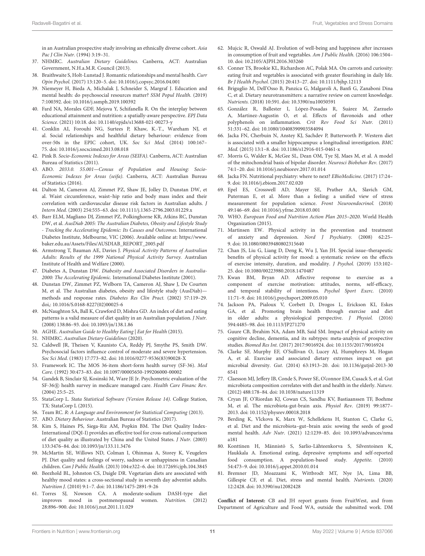in an Australian prospective study involving an ethnically diverse cohort. Asia Pac J Clin Nutr. (1994) 3:19–31.

- <span id="page-12-0"></span>37. NHMRC. Australian Dietary Guidelines. Canberra, ACT: Australian Government, N.H.a.M.R. Council (2013).
- <span id="page-12-1"></span>38. Braithwaite S, Holt-Lunstad J. Romantic relationships and mental health. Curr Opin Psychol. (2017) 13:120–5. doi: [10.1016/j.copsyc.2016.04.001](https://doi.org/10.1016/j.copsyc.2016.04.001)
- <span id="page-12-2"></span>39. Niemeyer H, Bieda A, Michalak J, Schneider S, Margraf J. Education and mental health: do psychosocial resources matter? SSM Popul Health. (2019) 7:100392. doi: [10.1016/j.ssmph.2019.100392](https://doi.org/10.1016/j.ssmph.2019.100392)
- <span id="page-12-3"></span>40. Fard NA, Morales GDF, Mejova Y, Schifanella R. On the interplay between educational attainment and nutrition: a spatially-aware perspective. EPJ Data Science. (2021) 10:18. doi: [10.1140/epjds/s13688-021-00273-y](https://doi.org/10.1140/epjds/s13688-021-00273-y)
- <span id="page-12-4"></span>41. Conklin AI, Forouhi NG, Surtees P, Khaw, K.-T., Wareham NJ, et al. Social relationships and healthful dietary behaviour: evidence from over-50s in the EPIC cohort, UK. Soc Sci Med. (2014) 100:167– 75. doi: [10.1016/j.socscimed.2013.08.018](https://doi.org/10.1016/j.socscimed.2013.08.018)
- <span id="page-12-5"></span>42. Pink B. Socio-Economic Indexes for Areas (SEIFA). Canberra, ACT: Australian Bureau of Statistics (2011).
- <span id="page-12-6"></span>43. ABO. 2033.0. 55.001—Census of Population and Housing: Socio-Economic Indexes for Areas (seifa). Canberra, ACT: Australian Bureau of Statistics (2016).
- <span id="page-12-7"></span>44. Dalton M, Cameron AJ, Zimmet PZ, Shaw JE, Jolley D, Dunstan DW, et al. Waist circumference, waist–hip ratio and body mass index and their correlation with cardiovascular disease risk factors in Australian adults. J Intern Med. (2003) 254:555–63. doi: [10.1111/j.1365-2796.2003.01229.x](https://doi.org/10.1111/j.1365-2796.2003.01229.x)
- <span id="page-12-8"></span>45. Barr ELM, Magliano DJ, Zimmet PZ, Polkinghorne KR, Atkins RC, Dunstan DW, et al. AusDiab 2005: The Australian Diabetes, Obesity and Lifestyle Study - Tracking the Accelerating Epidemic: Its Causes and Outcomes. International Diabetes Institute, Melbourne, VIC (2006). Available online at: [https://www.](https://www.baker.edu.au/Assets/Files/AUSDIAB_REPORT_2005.pdf) [baker.edu.au/Assets/Files/AUSDIAB\\_REPORT\\_2005.pdf](https://www.baker.edu.au/Assets/Files/AUSDIAB_REPORT_2005.pdf)
- <span id="page-12-9"></span>46. Armstrong T, Bauman AE, Davies J. Physical Activity Patterns of Australian Adults: Results of the 1999 National Physical Activity Survey. Australian Institute of Health and Welfare (2000).
- <span id="page-12-10"></span>47. Diabetes A, Dunstan DW. Diabesity and Associated Disorders in Australia-2000: The Accelerating Epidemic. International Diabetes Institute (2001).
- <span id="page-12-11"></span>48. Dunstan DW, Zimmet PZ, Welborn TA, Cameron AJ, Shaw J, De Courten M, et al. The Australian diabetes, obesity and lifestyle study (AusDiab) methods and response rates. Diabetes Res Clin Pract. (2002) 57:119–29. doi,: 10.1016/S.0168-8227(02)00025-6
- <span id="page-12-12"></span>49. McNaughton SA, Ball K, Crawford D, Mishra GD. An index of diet and eating patterns is a valid measure of diet quality in an Australian population. J Nutr. (2008) 138:86–93. doi: [10.1093/jn/138.1.86](https://doi.org/10.1093/jn/138.1.86)
- <span id="page-12-13"></span>50. AGHE. Australian Guide to Healthy Eating | Eat for Health (2015).
- <span id="page-12-14"></span>51. NHMRC. Australian Dietary Guidelines (2020).
- <span id="page-12-15"></span>52. Caldwell JR, Theisen V, Kaunisto CA, Reddy PJ, Smythe PS, Smith DW. Psychosocial factors influence control of moderate and severe hypertension. Soc Sci Med. (1983) 17:773–82. doi: [10.1016/0277-9536\(83\)90028-X](https://doi.org/10.1016/0277-9536(83)90028-X)
- <span id="page-12-16"></span>53. Framework IC. The MOS 36-item short-form health survey (SF-36). Med Care. (1992) 30:473–83. doi: [10.1097/00005650-199206000-00002](https://doi.org/10.1097/00005650-199206000-00002)
- <span id="page-12-17"></span>54. Gandek B, Sinclair SJ, Kosinski M, Ware JE Jr. Psychometric evaluation of the SF-36 R health survey in medicare managed care. Health Care Financ Rev. (2004) 25:5–25.
- <span id="page-12-18"></span>55. StataCorp L. Stata Statistical Software (Version Release 14). College Station, TX: StataCorp L (2015).
- <span id="page-12-19"></span>56. Team RC. R: A Language and Environment for Statistical Computing (2013).
- <span id="page-12-20"></span>57. ABO. Dietary Behaviour. Australian Bureau of Statistics (2017).
- <span id="page-12-21"></span>Kim S, Haines PS, Siega-Riz AM, Popkin BM. The Diet Quality Index-International (DQI-I) provides an effective tool for cross-national comparison of diet quality as illustrated by China and the United States. J Nutr. (2003) 133:3476–84. doi: [10.1093/jn/133.11.3476](https://doi.org/10.1093/jn/133.11.3476)
- <span id="page-12-22"></span>59. McMartin SE, Willows ND, Colman I, Ohinmaa A, Storey K, Veugelers PJ. Diet quality and feelings of worry, sadness or unhappiness in Canadian children. Can J Public Health. (2013) 104:e322–6. doi: [10.17269/cjph.104.3845](https://doi.org/10.17269/cjph.104.3845)
- <span id="page-12-23"></span>60. Beezhold BL, Johnston CS, Daigle DR. Vegetarian diets are associated with healthy mood states: a cross-sectional study in seventh day adventist adults. Nutrition J. (2010) 9:1–7. doi: [10.1186/1475-2891-9-26](https://doi.org/10.1186/1475-2891-9-26)
- <span id="page-12-24"></span>61. Torres SJ, Nowson CA. A moderate-sodium DASH-type diet improves mood in postmenopausal women. Nutrition. (2012) 28:896–900. doi: [10.1016/j.nut.2011.11.029](https://doi.org/10.1016/j.nut.2011.11.029)
- <span id="page-12-25"></span>62. Mujcic R, Oswald AJ. Evolution of well-being and happiness after increases in consumption of fruit and vegetables. Am J Public Health. (2016) 106:1504-10. doi: [10.2105/AJPH.2016.303260](https://doi.org/10.2105/AJPH.2016.303260)
- <span id="page-12-26"></span>63. Conner TS, Brookie KL, Richardson AC, Polak MA. On carrots and curiosity: eating fruit and vegetables is associated with greater flourishing in daily life. Br J Health Psychol. (2015) 20:413–27. doi: [10.1111/bjhp.12113](https://doi.org/10.1111/bjhp.12113)
- <span id="page-12-27"></span>64. Briguglio M, Dell'Osso B, Panzica G, Malgaroli A, Banfi G, Zanaboni Dina C, et al. Dietary neurotransmitters: a narrative review on current knowledge. Nutrients. (2018) 10:591. doi: [10.3390/nu10050591](https://doi.org/10.3390/nu10050591)
- <span id="page-12-28"></span>65. González R, Ballester I, López-Posadas R, Suárez M, Zarzuelo A, Martinez-Augustin O, et al. Effects of flavonoids and other polyphenols on inflammation. Crit Rev Food Sci Nutr. (2011) 51:331–62. doi: [10.1080/10408390903584094](https://doi.org/10.1080/10408390903584094)
- <span id="page-12-29"></span>66. Jacka FN, Cherbuin N, Anstey KJ, Sachdev P, Butterworth P. Western diet is associated with a smaller hippocampus: a longitudinal investigation. BMC Med. (2015) 13:1–8. doi: [10.1186/s12916-015-0461-x](https://doi.org/10.1186/s12916-015-0461-x)
- <span id="page-12-30"></span>67. Morris G, Walder K, McGee SL, Dean OM, Tye SJ, Maes M, et al. A model of the mitochondrial basis of bipolar disorder. Neurosci Biobehav Rev. (2017) 74:1–20. doi: [10.1016/j.neubiorev.2017.01.014](https://doi.org/10.1016/j.neubiorev.2017.01.014)
- <span id="page-12-31"></span>68. Jacka FN. Nutritional psychiatry: where to next? EBioMedicine. (2017) 17:24– 9. doi: [10.1016/j.ebiom.2017.02.020](https://doi.org/10.1016/j.ebiom.2017.02.020)
- <span id="page-12-32"></span>69. Epel ES, Crosswell AD, Mayer SE, Prather AA, Slavich GM, Puterman E, et al. More than a feeling: a unified view of stress measurement for population science. Front Neuroendocrinol. (2018) 49:146–69. doi: [10.1016/j.yfrne.2018.03.001](https://doi.org/10.1016/j.yfrne.2018.03.001)
- <span id="page-12-33"></span>70. WHO. European Food and Nutrition Action Plan 2015–2020. World Health Organization (2015).
- <span id="page-12-34"></span>71. Martinsen EW. Physical activity in the prevention and treatment of anxiety and depression. Nord J Psychiatry. (2008) 62:25– 9. doi: [10.1080/08039480802315640](https://doi.org/10.1080/08039480802315640)
- <span id="page-12-35"></span>72. Chan JS, Liu G, Liang D, Deng K, Wu J, Yan JH. Special issue–therapeutic benefits of physical activity for mood: a systematic review on the effects of exercise intensity, duration, and modality. J Psychol. (2019) 153:102– 25. doi: [10.1080/00223980.2018.1470487](https://doi.org/10.1080/00223980.2018.1470487)
- <span id="page-12-36"></span>73. Kwan BM, Bryan AD. Affective response to exercise as a component of exercise motivation: attitudes, norms, self-efficacy, and temporal stability of intentions. Psychol Sport Exerc. (2010) 11:71–9. doi: [10.1016/j.psychsport.2009.05.010](https://doi.org/10.1016/j.psychsport.2009.05.010)
- <span id="page-12-37"></span>74. Jackson PA, Pialoux V, Corbett D, Drogos L, Erickson KI, Eskes GA, et al. Promoting brain health through exercise and diet in older adults: a physiological perspective. J Physiol. (2016) 594:4485–98. doi: [10.1113/JP271270](https://doi.org/10.1113/JP271270)
- <span id="page-12-38"></span>75. Guure CB, Ibrahim NA, Adam MB, Said SM. Impact of physical activity on cognitive decline, dementia, and its subtypes: meta-analysis of prospective studies. Biomed Res Int. (2017) 2017:9016924. doi: [10.1155/2017/9016924](https://doi.org/10.1155/2017/9016924)
- <span id="page-12-39"></span>76. Clarke SF, Murphy EF, O'Sullivan O, Lucey AJ, Humphreys M, Hogan A, et al. Exercise and associated dietary extremes impact on gut microbial diversity. Gut. [\(2014\) 63:1913–20. doi: 10.1136/gutjnl-2013-30](https://doi.org/10.1136/gutjnl-2013-306541) 6541
- <span id="page-12-40"></span>77. Claesson MJ, Jeffery IB, Conde S, Power SE, O'connor EM, Cusack S, et al. Gut microbiota composition correlates with diet and health in the elderly. Nature. (2012) 488:178–84. doi: [10.1038/nature11319](https://doi.org/10.1038/nature11319)
- <span id="page-12-41"></span>78. Cryan JF, O'Riordan KJ, Cowan CS, Sandhu KV, Bastiaanssen TF, Boehme M, et al. The microbiota-gut-brain axis. Physiol Rev. (2019) 99:1877– 2013. doi: [10.1152/physrev.00018.2018](https://doi.org/10.1152/physrev.00018.2018)
- <span id="page-12-42"></span>79. Berding K, Vlckova K, Marx W, Schellekens H, Stanton C, Clarke G, et al. Diet and the microbiota–gut–brain axis: sowing the seeds of good mental health. Adv Nutr[. \(2021\) 12:1239–85. doi: 10.1093/advances/nma](https://doi.org/10.1093/advances/nmaa181) a181
- <span id="page-12-43"></span>80. Konttinen H, Männistö S, Sarlio-Lähteenkorva S, Silventoinen K, Haukkala A. Emotional eating, depressive symptoms and self-reported food consumption. A population-based study. Appetite. (2010) 54:473–9. doi: [10.1016/j.appet.2010.01.014](https://doi.org/10.1016/j.appet.2010.01.014)
- <span id="page-12-44"></span>81. Bremner JD, Moazzami K, Wittbrodt MT, Nye JA, Lima BB, Gillespie CF, et al. Diet, stress and mental health. Nutrients. (2020) 12:2428. doi: [10.3390/nu12082428](https://doi.org/10.3390/nu12082428)

**Conflict of Interest:** CB and JH report grants from FruitWest, and from Department of Agriculture and Food WA, outside the submitted work. DM